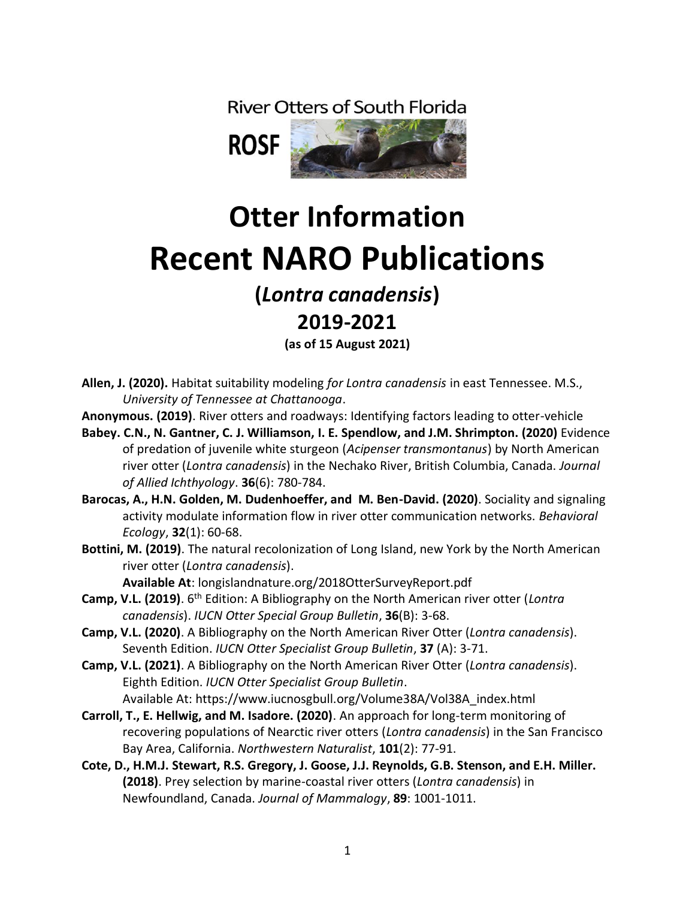**River Otters of South Florida** 



# **Otter Information Recent NARO Publications**

## **(***Lontra canadensis***)**

### **2019-2021**

**(as of 15 August 2021)** 

- **Allen, J. (2020).** Habitat suitability modeling *for Lontra canadensis* in east Tennessee. M.S., *University of Tennessee at Chattanooga*.
- **Anonymous. (2019)**. River otters and roadways: Identifying factors leading to otter-vehicle
- **Babey. C.N., N. Gantner, C. J. Williamson, I. E. Spendlow, and J.M. Shrimpton. (2020)** Evidence of predation of juvenile white sturgeon (*Acipenser transmontanus*) by North American river otter (*Lontra canadensis*) in the Nechako River, British Columbia, Canada. *Journal of Allied Ichthyology*. **36**(6): 780-784.
- **Barocas, A., H.N. Golden, M. Dudenhoeffer, and M. Ben-David. (2020)**. Sociality and signaling activity modulate information flow in river otter communication networks. *Behavioral Ecology*, **32**(1): 60-68.
- **Bottini, M. (2019)**. The natural recolonization of Long Island, new York by the North American river otter (*Lontra canadensis*).

**Available At**: longislandnature.org/2018OtterSurveyReport.pdf

- **Camp, V.L. (2019)**. 6th Edition: A Bibliography on the North American river otter (*Lontra canadensis*). *IUCN Otter Special Group Bulletin*, **36**(B): 3-68.
- **Camp, V.L. (2020)**. A Bibliography on the North American River Otter (*Lontra canadensis*). Seventh Edition. *IUCN Otter Specialist Group Bulletin*, **37** (A): 3-71.
- **Camp, V.L. (2021)**. A Bibliography on the North American River Otter (*Lontra canadensis*). Eighth Edition. *IUCN Otter Specialist Group Bulletin*. Available At: https://www.iucnosgbull.org/Volume38A/Vol38A\_index.html
- **Carroll, T., E. Hellwig, and M. Isadore. (2020)**. An approach for long-term monitoring of recovering populations of Nearctic river otters (*Lontra canadensis*) in the San Francisco Bay Area, California. *Northwestern Naturalist*, **101**(2): 77-91.
- **Cote, D., H.M.J. Stewart, R.S. Gregory, J. Goose, J.J. Reynolds, G.B. Stenson, and E.H. Miller. (2018)**. Prey selection by marine-coastal river otters (*Lontra canadensis*) in Newfoundland, Canada. *Journal of Mammalogy*, **89**: 1001-1011.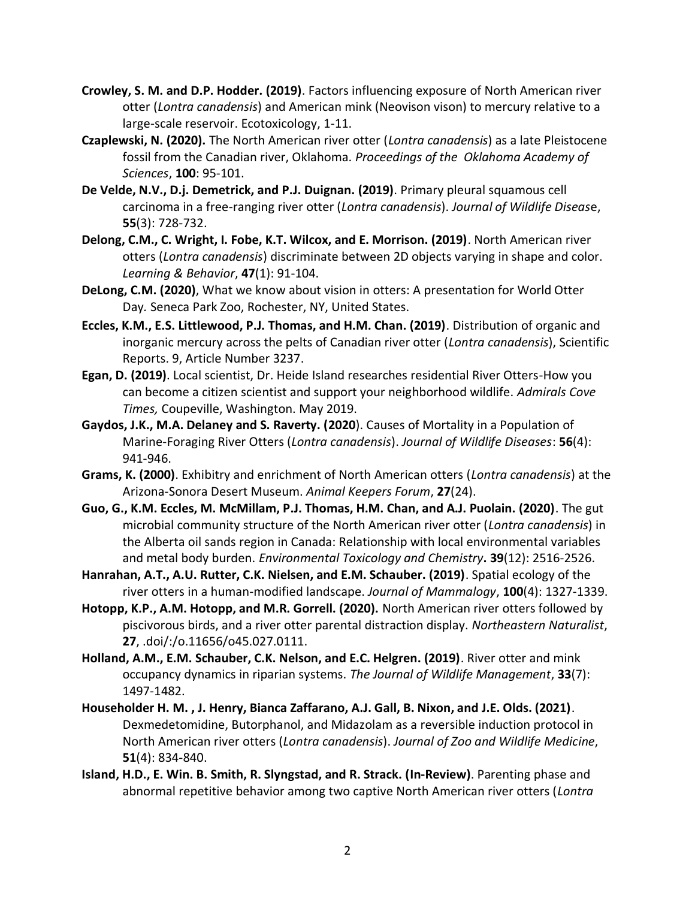- **Crowley, S. M. and D.P. Hodder. (2019)**. Factors influencing exposure of North American river otter (*Lontra canadensis*) and American mink (Neovison vison) to mercury relative to a large-scale reservoir. Ecotoxicology, 1-11.
- **Czaplewski, N. (2020).** The North American river otter (*Lontra canadensis*) as a late Pleistocene fossil from the Canadian river, Oklahoma. *Proceedings of the Oklahoma Academy of Sciences*, **100**: 95-101.
- **De Velde, N.V., D.j. Demetrick, and P.J. Duignan. (2019)**. Primary pleural squamous cell carcinoma in a free-ranging river otter (*Lontra canadensis*). *Journal of Wildlife Diseas*e, **55**(3): 728-732.
- **Delong, C.M., C. Wright, I. Fobe, K.T. Wilcox, and E. Morrison. (2019)**. North American river otters (*Lontra canadensis*) discriminate between 2D objects varying in shape and color. *Learning & Behavior*, **47**(1): 91-104.
- **DeLong, C.M. (2020)**, What we know about vision in otters: A presentation for World Otter Day*.* Seneca Park Zoo, Rochester, NY, United States.
- **Eccles, K.M., E.S. Littlewood, P.J. Thomas, and H.M. Chan. (2019)**. Distribution of organic and inorganic mercury across the pelts of Canadian river otter (*Lontra canadensis*), Scientific Reports. 9, Article Number 3237.
- **Egan, D. (2019)**. Local scientist, Dr. Heide Island researches residential River Otters-How you can become a citizen scientist and support your neighborhood wildlife. *Admirals Cove Times,* Coupeville, Washington. May 2019.
- **Gaydos, J.K., M.A. Delaney and S. Raverty. (2020**). Causes of Mortality in a Population of Marine-Foraging River Otters (*Lontra canadensis*). *Journal of Wildlife Diseases*: **56**(4): 941-946.
- **Grams, K. (2000)**. Exhibitry and enrichment of North American otters (*Lontra canadensis*) at the Arizona-Sonora Desert Museum. *Animal Keepers Forum*, **27**(24).
- **Guo, G., K.M. Eccles, M. McMillam, P.J. Thomas, H.M. Chan, and A.J. Puolain. (2020)**. The gut microbial community structure of the North American river otter (*Lontra canadensis*) in the Alberta oil sands region in Canada: Relationship with local environmental variables and metal body burden. *Environmental Toxicology and Chemistry***. 39**(12): 2516-2526.
- **Hanrahan, A.T., A.U. Rutter, C.K. Nielsen, and E.M. Schauber. (2019)**. Spatial ecology of the river otters in a human-modified landscape. *Journal of Mammalogy*, **100**(4): 1327-1339.
- **Hotopp, K.P., A.M. Hotopp, and M.R. Gorrell. (2020).** North American river otters followed by piscivorous birds, and a river otter parental distraction display. *Northeastern Naturalist*, **27**, .doi/:/o.11656/o45.027.0111.
- **Holland, A.M., E.M. Schauber, C.K. Nelson, and E.C. Helgren. (2019)**. River otter and mink occupancy dynamics in riparian systems. *The Journal of Wildlife Management*, **33**(7): 1497-1482.
- **Householder H. M. , J. Henry, Bianca Zaffarano, A.J. Gall, B. Nixon, and J.E. Olds. (2021)**. Dexmedetomidine, Butorphanol, and Midazolam as a reversible induction protocol in North American river otters (*Lontra canadensis*). *Journal of Zoo and Wildlife Medicine*, **51**(4): 834-840.
- **Island, H.D., E. Win. B. Smith, R. Slyngstad, and R. Strack. (In-Review)**. Parenting phase and abnormal repetitive behavior among two captive North American river otters (*Lontra*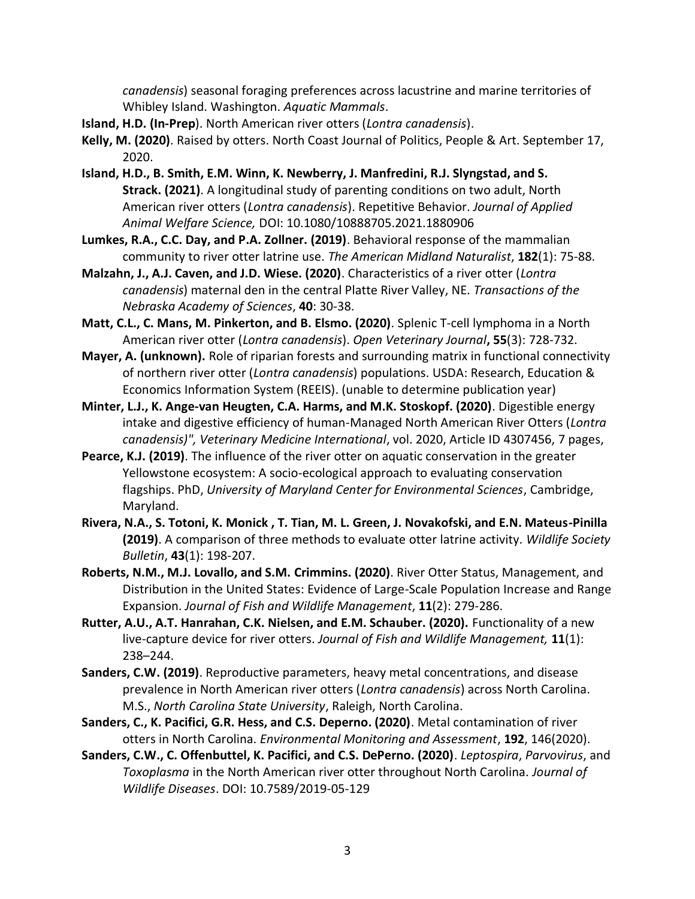*canadensis*) seasonal foraging preferences across lacustrine and marine territories of Whibley Island. Washington. *Aquatic Mammals*.

- **Island, H.D. (In-Prep**). North American river otters (*Lontra canadensis*).
- **Kelly, M. (2020)**. Raised by otters. North Coast Journal of Politics, People & Art. September 17, 2020.
- **Island, H.D., B. Smith, E.M. Winn, K. Newberry, J. Manfredini, R.J. Slyngstad, and S. Strack. (2021)**. A longitudinal study of parenting conditions on two adult, North American river otters (*Lontra canadensis*). Repetitive Behavior. *Journal of Applied Animal Welfare Science,* DOI: 10.1080/10888705.2021.1880906
- **Lumkes, R.A., C.C. Day, and P.A. Zollner. (2019)**. Behavioral response of the mammalian community to river otter latrine use. *The American Midland Naturalist*, **182**(1): 75-88.
- **Malzahn, J., A.J. Caven, and J.D. Wiese. (2020)**. Characteristics of a river otter (*Lontra canadensis*) maternal den in the central Platte River Valley, NE. *Transactions of the Nebraska Academy of Sciences*, **40**: 30-38.
- **Matt, C.L., C. Mans, M. Pinkerton, and B. Elsmo. (2020)**. Splenic T-cell lymphoma in a North American river otter (*Lontra canadensis*). *Open Veterinary Journal***, 55**(3): 728-732.
- **Mayer, A. (unknown).** Role of riparian forests and surrounding matrix in functional connectivity of northern river otter (*Lontra canadensis*) populations. USDA: Research, Education & Economics Information System (REEIS). (unable to determine publication year)
- **Minter, L.J., K. Ange-van Heugten, C.A. Harms, and M.K. Stoskopf. (2020)**. Digestible energy intake and digestive efficiency of human-Managed North American River Otters (*Lontra canadensis)", Veterinary Medicine International*, vol. 2020, Article ID 4307456, 7 pages,
- **Pearce, K.J. (2019)**. The influence of the river otter on aquatic conservation in the greater Yellowstone ecosystem: A socio-ecological approach to evaluating conservation flagships. PhD, *University of Maryland Center for Environmental Sciences*, Cambridge, Maryland.
- **Rivera, N.A., S. Totoni, K. Monick , T. Tian, M. L. Green, J. Novakofski, and E.N. Mateus-Pinilla (2019)**. A comparison of three methods to evaluate otter latrine activity. *Wildlife Society Bulletin*, **43**(1): 198-207.
- **Roberts, N.M., M.J. Lovallo, and S.M. Crimmins. (2020)**. River Otter Status, Management, and Distribution in the United States: Evidence of Large-Scale Population Increase and Range Expansion. *Journal of Fish and Wildlife Management*, **11**(2): 279-286.
- **Rutter, A.U., A.T. Hanrahan, C.K. Nielsen, and E.M. Schauber. (2020).** Functionality of a new live-capture device for river otters. *Journal of Fish and Wildlife Management,* **11**(1): 238–244.
- **Sanders, C.W. (2019)**. Reproductive parameters, heavy metal concentrations, and disease prevalence in North American river otters (*Lontra canadensis*) across North Carolina. M.S., *North Carolina State University*, Raleigh, North Carolina.
- **Sanders, C., K. Pacifici, G.R. Hess, and C.S. Deperno. (2020)**. Metal contamination of river otters in North Carolina. *Environmental Monitoring and Assessment*, **192**, 146(2020).
- **Sanders, C.W., C. Offenbuttel, K. Pacifici, and C.S. DePerno. (2020)**. *Leptospira*, *Parvovirus*, and *Toxoplasma* in the North American river otter throughout North Carolina. *Journal of Wildlife Diseases*. DOI: 10.7589/2019-05-129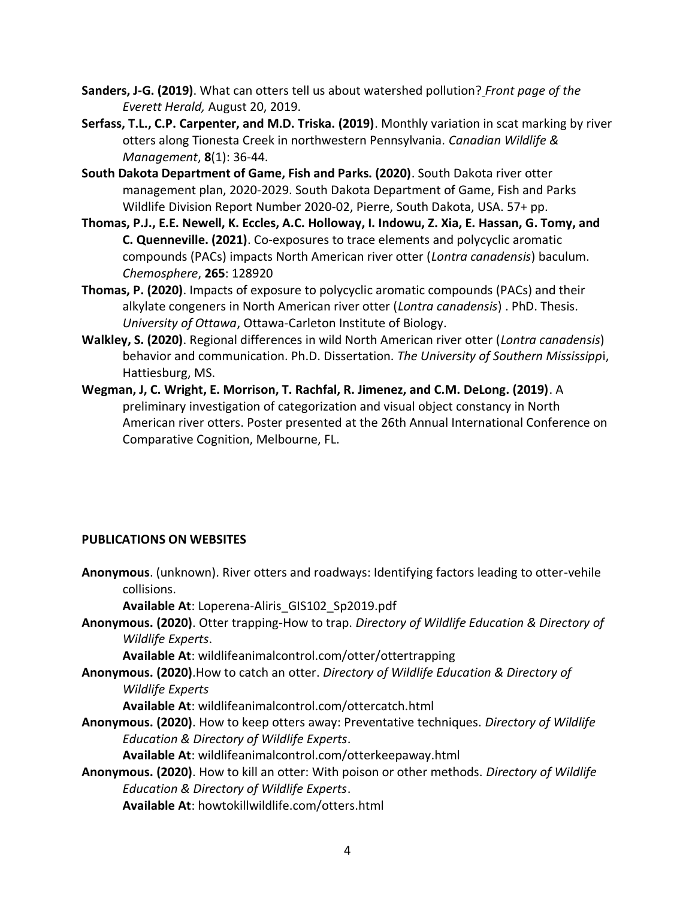- **Sanders, J-G. (2019)**. What can otters tell us about watershed pollution? *Front page of the Everett Herald,* August 20, 2019.
- **Serfass, T.L., C.P. Carpenter, and M.D. Triska. (2019)**. Monthly variation in scat marking by river otters along Tionesta Creek in northwestern Pennsylvania. *Canadian Wildlife & Management*, **8**(1): 36-44.
- **South Dakota Department of Game, Fish and Parks. (2020)**. South Dakota river otter management plan, 2020-2029. South Dakota Department of Game, Fish and Parks Wildlife Division Report Number 2020-02, Pierre, South Dakota, USA. 57+ pp.
- **Thomas, P.J., E.E. Newell, K. Eccles, A.C. Holloway, I. Indowu, Z. Xia, E. Hassan, G. Tomy, and C. Quenneville. (2021)**. Co-exposures to trace elements and polycyclic aromatic compounds (PACs) impacts North American river otter (*Lontra canadensis*) baculum. *Chemosphere*, **265**: 128920
- **Thomas, P. (2020)**. Impacts of exposure to polycyclic aromatic compounds (PACs) and their alkylate congeners in North American river otter (*Lontra canadensis*) . PhD. Thesis. *University of Ottawa*, Ottawa-Carleton Institute of Biology.
- **Walkley, S. (2020)**. Regional differences in wild North American river otter (*Lontra canadensis*) behavior and communication. Ph.D. Dissertation. *The University of Southern Mississipp*i, Hattiesburg, MS.
- **Wegman, J, C. Wright, E. Morrison, T. Rachfal, R. Jimenez, and C.M. DeLong. (2019)**. A preliminary investigation of categorization and visual object constancy in North American river otters. Poster presented at the 26th Annual International Conference on Comparative Cognition, Melbourne, FL.

### **PUBLICATIONS ON WEBSITES**

**Anonymous**. (unknown). River otters and roadways: Identifying factors leading to otter-vehile collisions. **Available At**: Loperena-Aliris\_GIS102\_Sp2019.pdf **Anonymous. (2020)**. Otter trapping-How to trap. *Directory of Wildlife Education & Directory of Wildlife Experts*. **Available At**: wildlifeanimalcontrol.com/otter/ottertrapping **Anonymous. (2020)**.How to catch an otter. *Directory of Wildlife Education & Directory of Wildlife Experts* **Available At**: wildlifeanimalcontrol.com/ottercatch.html **Anonymous. (2020)**. How to keep otters away: Preventative techniques. *Directory of Wildlife Education & Directory of Wildlife Experts*. **Available At**: wildlifeanimalcontrol.com/otterkeepaway.html **Anonymous. (2020)**. How to kill an otter: With poison or other methods. *Directory of Wildlife Education & Directory of Wildlife Experts*.

**Available At**: howtokillwildlife.com/otters.html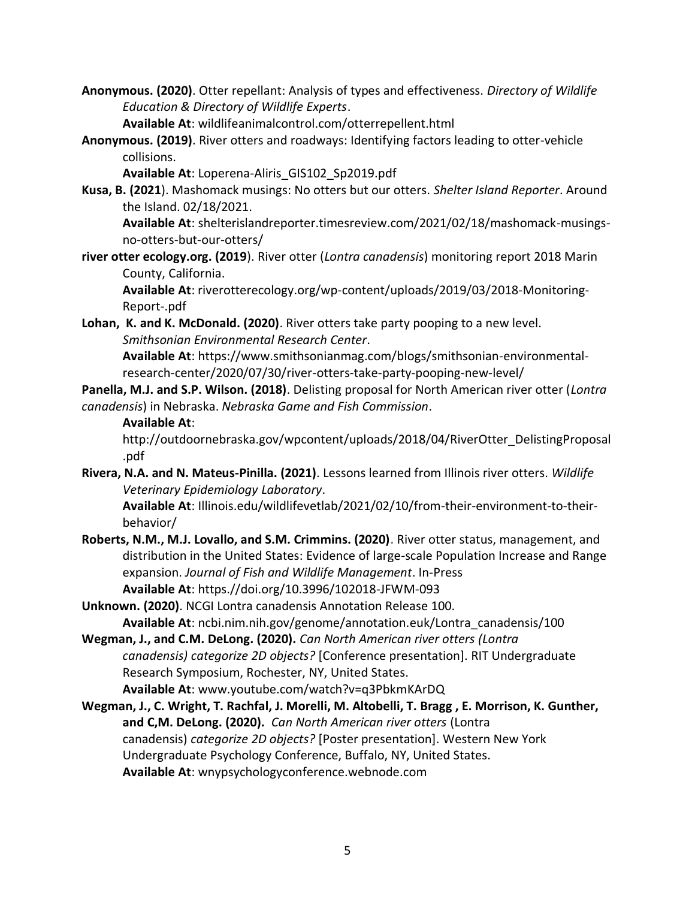**Anonymous. (2020)**. Otter repellant: Analysis of types and effectiveness. *Directory of Wildlife Education & Directory of Wildlife Experts*.

**Available At**: wildlifeanimalcontrol.com/otterrepellent.html

**Anonymous. (2019)**. River otters and roadways: Identifying factors leading to otter-vehicle collisions.

**Available At**: Loperena-Aliris\_GIS102\_Sp2019.pdf

**Kusa, B. (2021**). Mashomack musings: No otters but our otters. *Shelter Island Reporter*. Around the Island. 02/18/2021.

**Available At**: shelterislandreporter.timesreview.com/2021/02/18/mashomack-musingsno-otters-but-our-otters/

**river otter ecology.org. (2019**). River otter (*Lontra canadensis*) monitoring report 2018 Marin County, California.

**Available At**: riverotterecology.org/wp-content/uploads/2019/03/2018-Monitoring-Report-.pdf

**Lohan, K. and K. McDonald. (2020)**. River otters take party pooping to a new level. *Smithsonian Environmental Research Center*.

**Available At**: https://www.smithsonianmag.com/blogs/smithsonian-environmentalresearch-center/2020/07/30/river-otters-take-party-pooping-new-level/

**Panella, M.J. and S.P. Wilson. (2018)**. Delisting proposal for North American river otter (*Lontra canadensis*) in Nebraska. *Nebraska Game and Fish Commission*.

#### **Available At**:

http://outdoornebraska.gov/wpcontent/uploads/2018/04/RiverOtter\_DelistingProposal .pdf

**Rivera, N.A. and N. Mateus-Pinilla. (2021)**. Lessons learned from Illinois river otters. *Wildlife Veterinary Epidemiology Laboratory*.

**Available At**: Illinois.edu/wildlifevetlab/2021/02/10/from-their-environment-to-theirbehavior/

- **Roberts, N.M., M.J. Lovallo, and S.M. Crimmins. (2020).** [River otter status, management, and](javascript:void(0))  [distribution in the United States: Evidence of large-scale Population Increase and Range](javascript:void(0))  [expansion.](javascript:void(0)) *Journal of Fish and Wildlife Management*. In-Press **Available At**: https.//doi.org/10.3996/102018-JFWM-093
- **Unknown. (2020)**. NCGI Lontra canadensis Annotation Release 100. **Available At**: ncbi.nim.nih.gov/genome/annotation.euk/Lontra\_canadensis/100
- **Wegman, J., and C.M. DeLong. (2020).** *Can North American river otters (Lontra canadensis) categorize 2D objects?* [Conference presentation]. RIT Undergraduate Research Symposium, Rochester, NY, United States. **Available At**: www.youtube.com/watch?v=q3PbkmKArDQ
- **Wegman, J., C. Wright, T. Rachfal, J. Morelli, M. Altobelli, T. Bragg , E. Morrison, K. Gunther, and C,M. DeLong. (2020).** *Can North American river otters* (Lontra canadensis) *categorize 2D objects?* [Poster presentation]. Western New York Undergraduate Psychology Conference, Buffalo, NY, United States. **Available At**: wnypsychologyconference.webnode.com